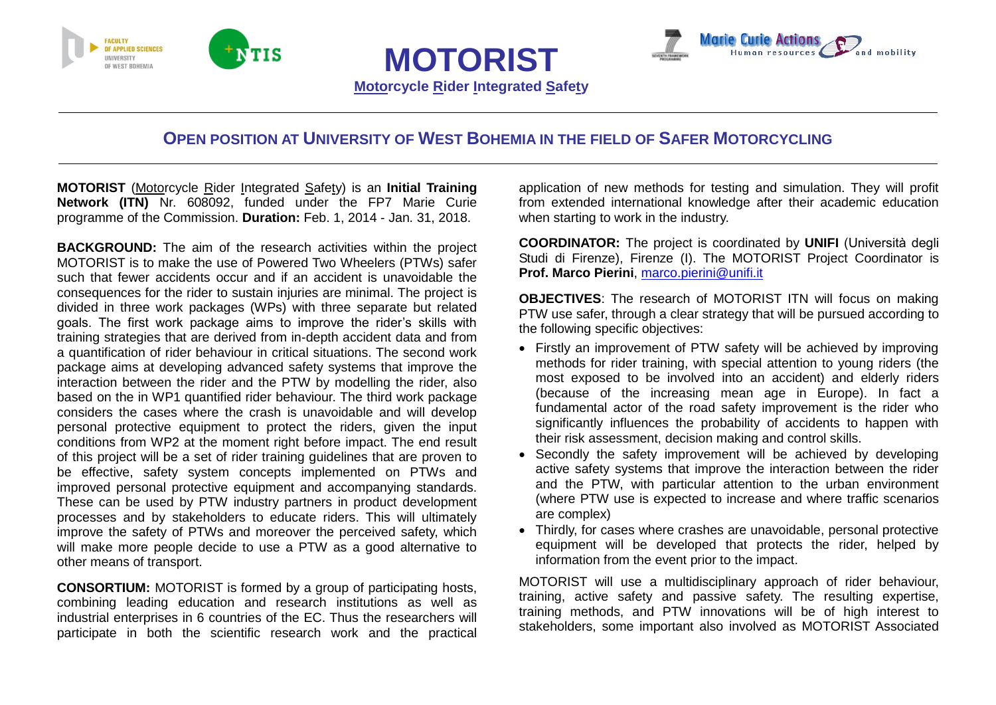



# **OPEN POSITION AT UNIVERSITY OF WEST BOHEMIA IN THE FIELD OF SAFER MOTORCYCLING**

**MOTORIST**

**Motorcycle Rider Integrated Safety**

**MOTORIST** (Motorcycle Rider Integrated Safety) is an **Initial Training Network (ITN)** Nr. 608092, funded under the FP7 Marie Curie programme of the Commission. **Duration:** Feb. 1, 2014 - Jan. 31, 2018.

**BACKGROUND:** The aim of the research activities within the project MOTORIST is to make the use of Powered Two Wheelers (PTWs) safer such that fewer accidents occur and if an accident is unavoidable the consequences for the rider to sustain injuries are minimal. The project is divided in three work packages (WPs) with three separate but related goals. The first work package aims to improve the rider's skills with training strategies that are derived from in-depth accident data and from a quantification of rider behaviour in critical situations. The second work package aims at developing advanced safety systems that improve the interaction between the rider and the PTW by modelling the rider, also based on the in WP1 quantified rider behaviour. The third work package considers the cases where the crash is unavoidable and will develop personal protective equipment to protect the riders, given the input conditions from WP2 at the moment right before impact. The end result of this project will be a set of rider training guidelines that are proven to be effective, safety system concepts implemented on PTWs and improved personal protective equipment and accompanying standards. These can be used by PTW industry partners in product development processes and by stakeholders to educate riders. This will ultimately improve the safety of PTWs and moreover the perceived safety, which will make more people decide to use a PTW as a good alternative to other means of transport.

**CONSORTIUM:** MOTORIST is formed by a group of participating hosts, combining leading education and research institutions as well as industrial enterprises in 6 countries of the EC. Thus the researchers will participate in both the scientific research work and the practical application of new methods for testing and simulation. They will profit from extended international knowledge after their academic education when starting to work in the industry.

**COORDINATOR:** The project is coordinated by **UNIFI** (Università degli Studi di Firenze), Firenze (I). The MOTORIST Project Coordinator is **Prof. Marco Pierini**, [marco.pierini@unifi.it](mailto:marco.pierini@unifi.it)

**OBJECTIVES**: The research of MOTORIST ITN will focus on making PTW use safer, through a clear strategy that will be pursued according to the following specific objectives:

- Firstly an improvement of PTW safety will be achieved by improving methods for rider training, with special attention to young riders (the most exposed to be involved into an accident) and elderly riders (because of the increasing mean age in Europe). In fact a fundamental actor of the road safety improvement is the rider who significantly influences the probability of accidents to happen with their risk assessment, decision making and control skills.
- Secondly the safety improvement will be achieved by developing active safety systems that improve the interaction between the rider and the PTW, with particular attention to the urban environment (where PTW use is expected to increase and where traffic scenarios are complex)
- Thirdly, for cases where crashes are unavoidable, personal protective equipment will be developed that protects the rider, helped by information from the event prior to the impact.

MOTORIST will use a multidisciplinary approach of rider behaviour, training, active safety and passive safety. The resulting expertise, training methods, and PTW innovations will be of high interest to stakeholders, some important also involved as MOTORIST Associated